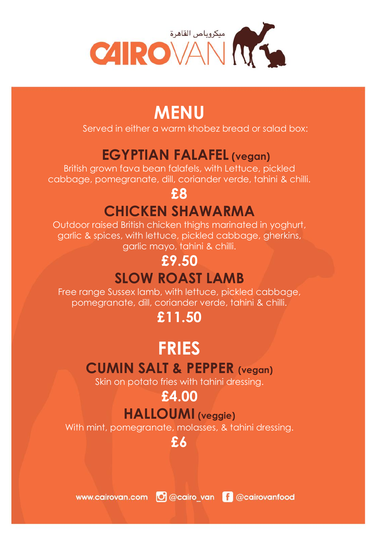

## **MENU**

Served in either a warm khobez bread or salad box:

## **EGYPTIAN FALAFEL (vegan)**

British grown fava bean falafels, with Lettuce, pickled cabbage, pomegranate, dill, coriander verde, tahini & chilli.

#### **£8**

## **CHICKEN SHAWARMA**

Outdoor raised British chicken thighs marinated in yoghurt, garlic & spices, with lettuce, pickled cabbage, gherkins, garlic mayo, tahini & chilli.

## **£9.50**

## **SLOW ROAST LAMB**

Free range Sussex lamb, with lettuce, pickled cabbage, pomegranate, dill, coriander verde, tahini & chilli.

## **£11.50**

## **FRIES**

#### **CUMIN SALT & PEPPER (vegan)**

Skin on potato fries with tahini dressing.

# **£4.00**

## **HALLOUMI (veggie)**

With mint, pomegranate, molasses, & tahini dressing.

**£6**